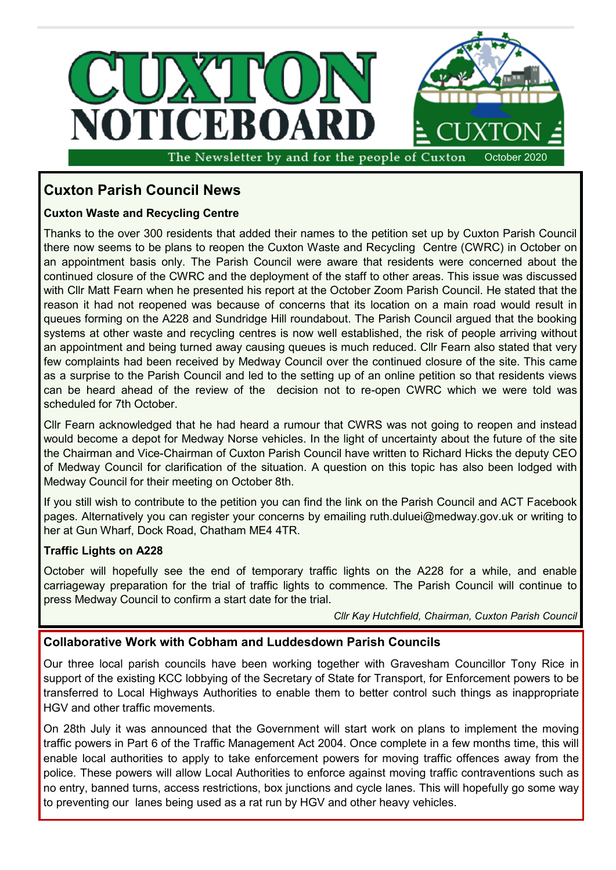

**Cuxton Parish Council News**

# **Cuxton Waste and Recycling Centre**

Thanks to the over 300 residents that added their names to the petition set up by Cuxton Parish Council there now seems to be plans to reopen the Cuxton Waste and Recycling Centre (CWRC) in October on an appointment basis only. The Parish Council were aware that residents were concerned about the continued closure of the CWRC and the deployment of the staff to other areas. This issue was discussed with Cllr Matt Fearn when he presented his report at the October Zoom Parish Council. He stated that the reason it had not reopened was because of concerns that its location on a main road would result in queues forming on the A228 and Sundridge Hill roundabout. The Parish Council argued that the booking systems at other waste and recycling centres is now well established, the risk of people arriving without an appointment and being turned away causing queues is much reduced. Cllr Fearn also stated that very few complaints had been received by Medway Council over the continued closure of the site. This came as a surprise to the Parish Council and led to the setting up of an online petition so that residents views can be heard ahead of the review of the decision not to re-open CWRC which we were told was scheduled for 7th October.

Cllr Fearn acknowledged that he had heard a rumour that CWRS was not going to reopen and instead would become a depot for Medway Norse vehicles. In the light of uncertainty about the future of the site the Chairman and Vice-Chairman of Cuxton Parish Council have written to Richard Hicks the deputy CEO of Medway Council for clarification of the situation. A question on this topic has also been lodged with Medway Council for their meeting on October 8th.

If you still wish to contribute to the petition you can find the link on the Parish Council and ACT Facebook pages. Alternatively you can register your concerns by emailing ruth.duluei@medway.gov.uk or writing to her at Gun Wharf, Dock Road, Chatham ME4 4TR.

#### **Traffic Lights on A228**

October will hopefully see the end of temporary traffic lights on the A228 for a while, and enable carriageway preparation for the trial of traffic lights to commence. The Parish Council will continue to press Medway Council to confirm a start date for the trial.

*Cllr Kay Hutchfield, Chairman, Cuxton Parish Council*

## **Collaborative Work with Cobham and Luddesdown Parish Councils**

Our three local parish councils have been working together with Gravesham Councillor Tony Rice in support of the existing KCC lobbying of the Secretary of State for Transport, for Enforcement powers to be transferred to Local Highways Authorities to enable them to better control such things as inappropriate HGV and other traffic movements.

On 28th July it was announced that the Government will start work on plans to implement the moving traffic powers in Part 6 of the Traffic Management Act 2004. Once complete in a few months time, this will enable local authorities to apply to take enforcement powers for moving traffic offences away from the police. These powers will allow Local Authorities to enforce against moving traffic contraventions such as no entry, banned turns, access restrictions, box junctions and cycle lanes. This will hopefully go some way to preventing our lanes being used as a rat run by HGV and other heavy vehicles.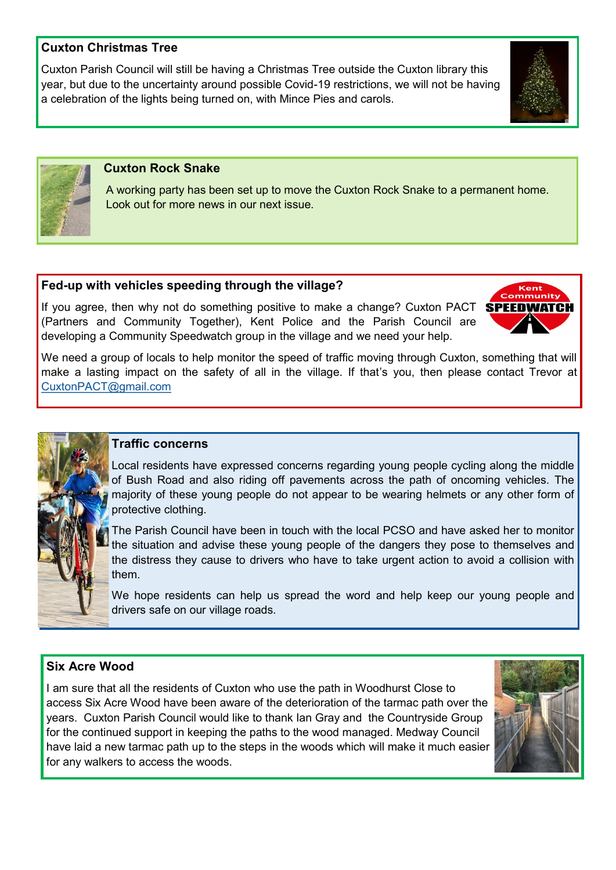## **Cuxton Christmas Tree**

Cuxton Parish Council will still be having a Christmas Tree outside the Cuxton library this year, but due to the uncertainty around possible Covid-19 restrictions, we will not be having a celebration of the lights being turned on, with Mince Pies and carols.





## **Cuxton Rock Snake**

 A working party has been set up to move the Cuxton Rock Snake to a permanent home. Look out for more news in our next issue.

## **Fed-up with vehicles speeding through the village?**

If you agree, then why not do something positive to make a change? Cuxton PACT **SPEEDWATCH** (Partners and Community Together), Kent Police and the Parish Council are developing a Community Speedwatch group in the village and we need your help.



We need a group of locals to help monitor the speed of traffic moving through Cuxton, something that will make a lasting impact on the safety of all in the village. If that's you, then please contact Trevor at [CuxtonPACT@gmail.com](mailto:CuxtonPACT@gmail.com)



#### **Traffic concerns**

Local residents have expressed concerns regarding young people cycling along the middle of Bush Road and also riding off pavements across the path of oncoming vehicles. The majority of these young people do not appear to be wearing helmets or any other form of protective clothing.

The Parish Council have been in touch with the local PCSO and have asked her to monitor the situation and advise these young people of the dangers they pose to themselves and the distress they cause to drivers who have to take urgent action to avoid a collision with them.

We hope residents can help us spread the word and help keep our young people and drivers safe on our village roads.

## **Six Acre Wood**

I am sure that all the residents of Cuxton who use the path in Woodhurst Close to access Six Acre Wood have been aware of the deterioration of the tarmac path over the years. Cuxton Parish Council would like to thank Ian Gray and the Countryside Group for the continued support in keeping the paths to the wood managed. Medway Council have laid a new tarmac path up to the steps in the woods which will make it much easier for any walkers to access the woods.

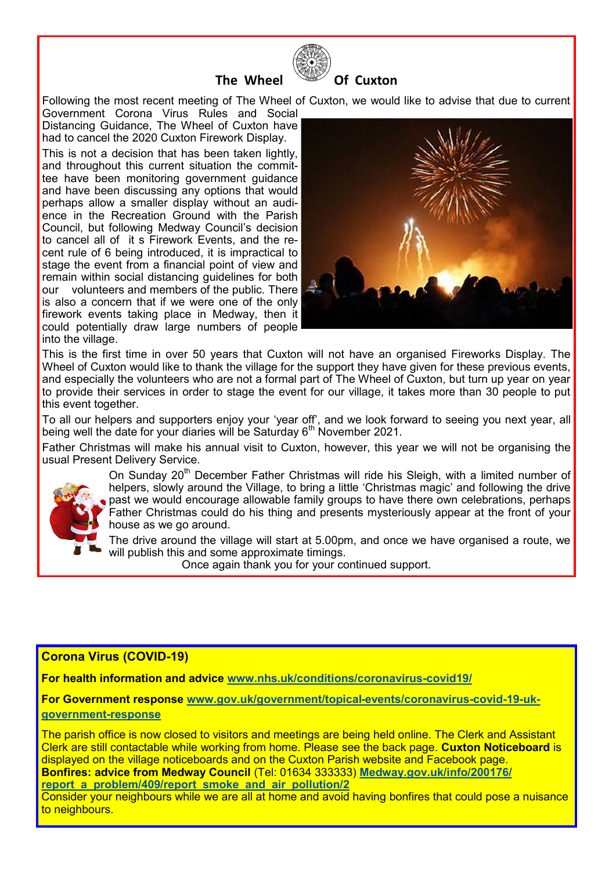



Following the most recent meeting of The Wheel of Cuxton, we would like to advise that due to current

Government Corona Virus Rules and Social Distancing Guidance, The Wheel of Cuxton have had to cancel the 2020 Cuxton Firework Display.

This is not a decision that has been taken lightly, and throughout this current situation the committee have been monitoring government guidance and have been discussing any options that would perhaps allow a smaller display without an audience in the Recreation Ground with the Parish Council, but following Medway Council's decision to cancel all of it s Firework Events, and the recent rule of 6 being introduced, it is impractical to stage the event from a financial point of view and remain within social distancing guidelines for both our volunteers and members of the public. There is also a concern that if we were one of the only firework events taking place in Medway, then it could potentially draw large numbers of people into the village.



This is the first time in over 50 years that Cuxton will not have an organised Fireworks Display. The Wheel of Cuxton would like to thank the village for the support they have given for these previous events, and especially the volunteers who are not a formal part of The Wheel of Cuxton, but turn up year on year to provide their services in order to stage the event for our village, it takes more than 30 people to put this event together.

To all our helpers and supporters enjoy your 'year off', and we look forward to seeing you next year, all being well the date for your diaries will be Saturday 6<sup>th</sup> November 2021.

Father Christmas will make his annual visit to Cuxton, however, this year we will not be organising the usual Present Delivery Service.



On Sunday 20<sup>th</sup> December Father Christmas will ride his Sleigh, with a limited number of helpers, slowly around the Village, to bring a little 'Christmas magic' and following the drive past we would encourage allowable family groups to have there own celebrations, perhaps Father Christmas could do his thing and presents mysteriously appear at the front of your house as we go around.

The drive around the village will start at 5.00pm, and once we have organised a route, we will publish this and some approximate timings.

Once again thank you for your continued support.

## **Corona Virus (COVID-19)**

**For health information and advice [www.nhs.uk/conditions/coronavirus](http://www.nhs.uk/conditions/coronavirus-covid19/)-covid19/**

**For Government response [www.gov.uk/government/topical](http://www.gov.uk/government/topical-events/coronavirus-covid-19-uk-government-response)-events/coronavirus-covid-19-uk[government](http://www.gov.uk/government/topical-events/coronavirus-covid-19-uk-government-response)-response**

The parish office is now closed to visitors and meetings are being held online. The Clerk and Assistant Clerk are still contactable while working from home. Please see the back page. **Cuxton Noticeboard** is displayed on the village noticeboards and on the Cuxton Parish website and Facebook page. **Bonfires: advice from Medway Council** (Tel: 01634 333333) **[Medway.gov.uk/info/200176/](Medway.gov.uk/info/200176/report_a_problem/409/report_smoke_and_air_pollution/2) [report\\_a\\_problem/409/report\\_smoke\\_and\\_air\\_pollution/2](Medway.gov.uk/info/200176/report_a_problem/409/report_smoke_and_air_pollution/2)**

Consider your neighbours while we are all at home and avoid having bonfires that could pose a nuisance to neighbours.